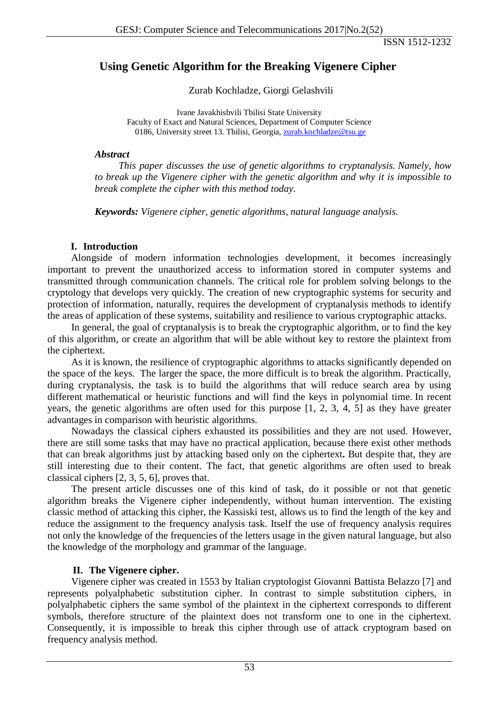ISSN 1512-1232

# **Using Genetic Algorithm for the Breaking Vigenere Cipher**

Zurab Kochladze, Giorgi Gelashvili

Ivane Javakhishvili Tbilisi State University Faculty of Exact and Natural Sciences, Department of Computer Science 0186, University street 13. Tbilisi, Georgia, [zurab.kochladze@tsu.ge](mailto:zurab.kochladze@tsu.ge)

### *Abstract*

*This paper discusses the use of genetic algorithms to cryptanalysis. Namely, how to break up the Vigenere cipher with the genetic algorithm and why it is impossible to break complete the cipher with this method today.*

*Keywords: Vigenere cipher, genetic algorithms, natural language analysis.*

## **I. Introduction**

Alongside of modern information technologies development, it becomes increasingly important to prevent the unauthorized access to information stored in computer systems and transmitted through communication channels. The critical role for problem solving belongs to the cryptology that develops very quickly. The creation of new cryptographic systems for security and protection of information, naturally, requires the development of cryptanalysis methods to identify the areas of application of these systems, suitability and resilience to various cryptographic attacks.

In general, the goal of cryptanalysis is to break the cryptographic algorithm, or to find the key of this algorithm, or create an algorithm that will be able without key to restore the plaintext from the ciphertext.

As it is known, the resilience of cryptographic algorithms to attacks significantly depended on the space of the keys. The larger the space, the more difficult is to break the algorithm. Practically, during cryptanalysis, the task is to build the algorithms that will reduce search area by using different mathematical or heuristic functions and will find the keys in polynomial time. In recent years, the genetic algorithms are often used for this purpose [1, 2, 3, 4, 5] as they have greater advantages in comparison with heuristic algorithms.

Nowadays the classical ciphers exhausted its possibilities and they are not used. However, there are still some tasks that may have no practical application, because there exist other methods that can break algorithms just by attacking based only on the ciphertext**.** But despite that, they are still interesting due to their content. The fact, that genetic algorithms are often used to break classical ciphers [2, 3, 5, 6], proves that.

The present article discusses one of this kind of task, do it possible or not that genetic algorithm breaks the Vigenere cipher independently, without human intervention. The existing classic method of attacking this cipher, the Kassiski test, allows us to find the length of the key and reduce the assignment to the frequency analysis task. Itself the use of frequency analysis requires not only the knowledge of the frequencies of the letters usage in the given natural language, but also the knowledge of the morphology and grammar of the language.

## **II. The Vigenere cipher.**

Vigenere cipher was created in 1553 by Italian cryptologist Giovanni Battista Belazzo [7] and represents polyalphabetic substitution cipher. In contrast to simple substitution ciphers, in polyalphabetic ciphers the same symbol of the plaintext in the ciphertext corresponds to different symbols, therefore structure of the plaintext does not transform one to one in the ciphertext. Consequently, it is impossible to break this cipher through use of attack cryptogram based on frequency analysis method.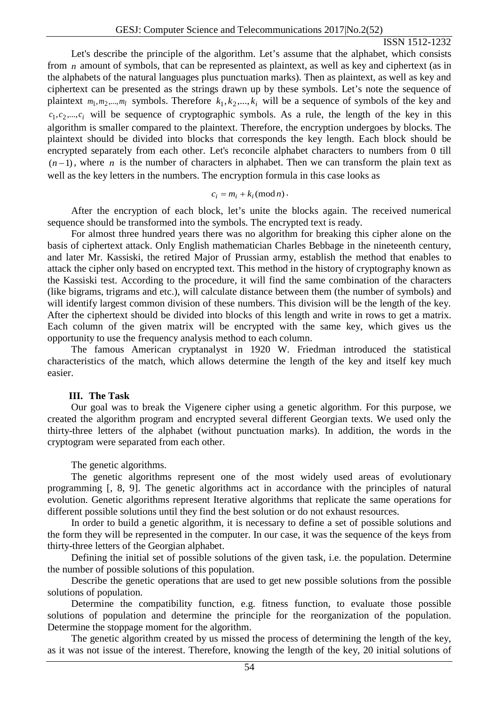#### ISSN 1512-1232

Let's describe the principle of the algorithm. Let's assume that the alphabet, which consists from *n* amount of symbols, that can be represented as plaintext, as well as key and ciphertext (as in the alphabets of the natural languages plus punctuation marks). Then as plaintext, as well as key and ciphertext can be presented as the strings drawn up by these symbols. Let's note the sequence of plaintext  $m_1, m_2, ..., m_l$  symbols. Therefore  $k_1, k_2, ..., k_i$  will be a sequence of symbols of the key and  $c_1, c_2, ..., c_i$  will be sequence of cryptographic symbols. As a rule, the length of the key in this algorithm is smaller compared to the plaintext. Therefore, the encryption undergoes by blocks. The plaintext should be divided into blocks that corresponds the key length. Each block should be encrypted separately from each other. Let's reconcile alphabet characters to numbers from 0 till  $(n-1)$ , where *n* is the number of characters in alphabet. Then we can transform the plain text as well as the key letters in the numbers. The encryption formula in this case looks as

$$
c_i = m_i + k_i \pmod{n}.
$$

After the encryption of each block, let's unite the blocks again. The received numerical sequence should be transformed into the symbols. The encrypted text is ready.

For almost three hundred years there was no algorithm for breaking this cipher alone on the basis of ciphertext attack. Only English mathematician Charles Bebbage in the nineteenth century, and later Mr. Kassiski, the retired Major of Prussian army, establish the method that enables to attack the cipher only based on encrypted text. This method in the history of cryptography known as the Kassiski test. According to the procedure, it will find the same combination of the characters (like bigrams, trigrams and etc.), will calculate distance between them (the number of symbols) and will identify largest common division of these numbers. This division will be the length of the key. After the ciphertext should be divided into blocks of this length and write in rows to get a matrix. Each column of the given matrix will be encrypted with the same key, which gives us the opportunity to use the frequency analysis method to each column.

The famous American cryptanalyst in 1920 W. Friedman introduced the statistical characteristics of the match, which allows determine the length of the key and itself key much easier.

#### **III. The Task**

Our goal was to break the Vigenere cipher using a genetic algorithm. For this purpose, we created the algorithm program and encrypted several different Georgian texts. We used only the thirty-three letters of the alphabet (without punctuation marks). In addition, the words in the cryptogram were separated from each other.

The genetic algorithms.

The genetic algorithms represent one of the most widely used areas of evolutionary programming [, 8, 9]. The genetic algorithms act in accordance with the principles of natural evolution. Genetic algorithms represent Iterative algorithms that replicate the same operations for different possible solutions until they find the best solution or do not exhaust resources.

In order to build a genetic algorithm, it is necessary to define a set of possible solutions and the form they will be represented in the computer. In our case, it was the sequence of the keys from thirty-three letters of the Georgian alphabet.

Defining the initial set of possible solutions of the given task, i.e. the population. Determine the number of possible solutions of this population.

Describe the genetic operations that are used to get new possible solutions from the possible solutions of population.

Determine the compatibility function, e.g. fitness function, to evaluate those possible solutions of population and determine the principle for the reorganization of the population. Determine the stoppage moment for the algorithm.

The genetic algorithm created by us missed the process of determining the length of the key, as it was not issue of the interest. Therefore, knowing the length of the key, 20 initial solutions of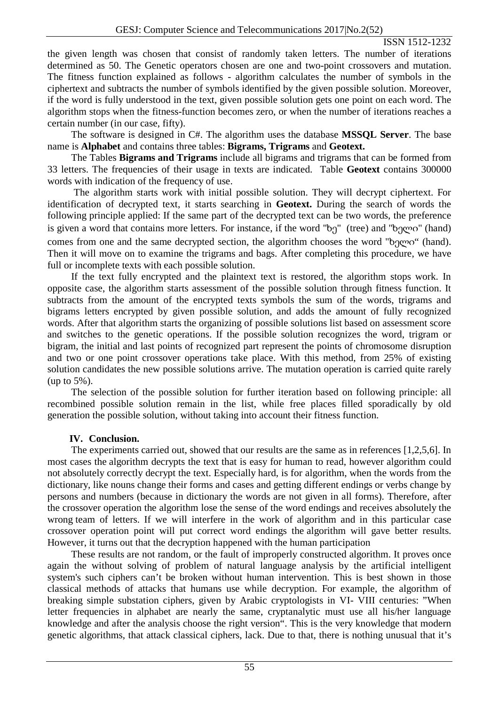### ISSN 1512-1232

the given length was chosen that consist of randomly taken letters. The number of iterations determined as 50. The Genetic operators chosen are one and two-point crossovers and mutation. The fitness function explained as follows - algorithm calculates the number of symbols in the ciphertext and subtracts the number of symbols identified by the given possible solution. Moreover, if the word is fully understood in the text, given possible solution gets one point on each word. The algorithm stops when the fitness-function becomes zero, or when the number of iterations reaches a certain number (in our case, fifty).

The software is designed in C#. The algorithm uses the database **MSSQL Server**. The base name is **Alphabet** and contains three tables: **Bigrams, Trigrams** and **Geotext.**

The Tables **Bigrams and Trigrams** include all bigrams and trigrams that can be formed from 33 letters. The frequencies of their usage in texts are indicated. Table **Geotext** contains 300000 words with indication of the frequency of use.

The algorithm starts work with initial possible solution. They will decrypt ciphertext. For identification of decrypted text, it starts searching in **Geotext.** During the search of words the following principle applied: If the same part of the decrypted text can be two words, the preference is given a word that contains more letters. For instance, if the word "ხე" (tree) and "ხელი" (hand) comes from one and the same decrypted section, the algorithm chooses the word "ხელი" (hand). Then it will move on to examine the trigrams and bags. After completing this procedure, we have full or incomplete texts with each possible solution.

If the text fully encrypted and the plaintext text is restored, the algorithm stops work. In opposite case, the algorithm starts assessment of the possible solution through fitness function. It subtracts from the amount of the encrypted texts symbols the sum of the words, trigrams and bigrams letters encrypted by given possible solution, and adds the amount of fully recognized words. After that algorithm starts the organizing of possible solutions list based on assessment score and switches to the genetic operations. If the possible solution recognizes the word, trigram or bigram, the initial and last points of recognized part represent the points of chromosome disruption and two or one point crossover operations take place. With this method, from 25% of existing solution candidates the new possible solutions arrive. The mutation operation is carried quite rarely (up to 5%).

The selection of the possible solution for further iteration based on following principle: all recombined possible solution remain in the list, while free places filled sporadically by old generation the possible solution, without taking into account their fitness function.

## **IV. Conclusion.**

The experiments carried out, showed that our results are the same as in references [1,2,5,6]. In most cases the algorithm decrypts the text that is easy for human to read, however algorithm could not absolutely correctly decrypt the text. Especially hard, is for algorithm, when the words from the dictionary, like nouns change their forms and cases and getting different endings or verbs change by persons and numbers (because in dictionary the words are not given in all forms). Therefore, after the crossover operation the algorithm lose the sense of the word endings and receives absolutely the wrong team of letters. If we will interfere in the work of algorithm and in this particular case crossover operation point will put correct word endings the algorithm will gave better results. However, it turns out that the decryption happened with the human participation

These results are not random, or the fault of improperly constructed algorithm. It proves once again the without solving of problem of natural language analysis by the artificial intelligent system's such ciphers can't be broken without human intervention. This is best shown in those classical methods of attacks that humans use while decryption. For example, the algorithm of breaking simple substation ciphers, given by Arabic cryptologists in VI- VIII centuries: "When letter frequencies in alphabet are nearly the same, cryptanalytic must use all his/her language knowledge and after the analysis choose the right version". This is the very knowledge that modern genetic algorithms, that attack classical ciphers, lack. Due to that, there is nothing unusual that it's